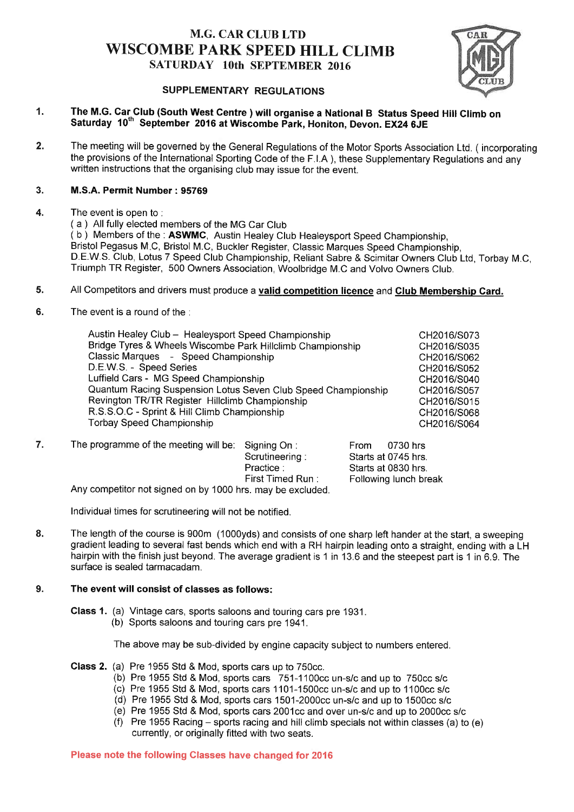## M.G. CAR CLUB LTD WISCOMBE PARK SPEED HILL CLIMB SATURDAY 10th SEPTEMBER 2016



# SUPPLEMENTARY REGULATIONS

#### 1. The M.G. Gar Glub (South West Gentre ) will organise a National B Status Speed Hitl Glimb on Saturday 10<sup>th</sup> September 2016 at Wiscombe Park, Honiton, Devon. EX24 6JE

2. The meeting will be governed by the General Regulations of the Motor Sports Association Ltd. ( incorporating the provisions of the International Sporting Code of the F.l.A ), these Supplementary Regulations and any written instructions that the organising club may issue for the event.

#### 3. M.S.A. Permit Number: 95769

4.

- The event is open to : ( a ) All fully elected members of the MG Car Club (b) Members of the : ASWMC, Austin Healey Club Healeysport Speed Championship, Bristol Pegasus M C, Bristol M.C, Buckler Register, Classic Marques Speed Championship, D.E.W.S. Club, Lotus 7 Speed Club Championship, Reliant Sabre & Scimitar Owners Club Ltd, Torbay M.C, Triumph TR Register, 500 Owners Association, Woolbridge M.C and Volvo Owners Club.
- 5. All Competitors and drivers must produce a valid competition licence and Club Membership Card.
- 6. The event is a round of the .

| Austin Healey Club - Healeysport Speed Championship           | CH2016/S073 |
|---------------------------------------------------------------|-------------|
| Bridge Tyres & Wheels Wiscombe Park Hillclimb Championship    | CH2016/S035 |
| Classic Marques - Speed Championship                          | CH2016/S062 |
| D.E.W.S. - Speed Series                                       | CH2016/S052 |
| Luffield Cars - MG Speed Championship                         | CH2016/S040 |
| Quantum Racing Suspension Lotus Seven Club Speed Championship | CH2016/S057 |
| Revington TR/TR Register Hillclimb Championship               | CH2016/S015 |
| R.S.S.O.C - Sprint & Hill Climb Championship                  | CH2016/S068 |
| <b>Torbay Speed Championship</b>                              | CH2016/S064 |
|                                                               |             |

The programme of the meeting will be: Signing On : From 0730 hrs<br>Scrutineering : Starts at 0745 hrs Scrutineering : Starts at 0745 hrs.<br>Practice : Starts at 0830 hrs. Practice : Starts at 0830 hrs.<br>First Timed Run : Following lunch bre Following lunch break Any competitor not signed on by 1000 hrs. may be excluded. 7.

Individual times for scrutineering will not be notified.

The length of the course is 900m (1000yds) and consists of one sharp left hander at the start, a sweeping gradient leading to several fast bends which end with a RH hairpin leading onto a straight, ending with a LH hairpin with the finish just beyond. The average gradient is 1 in 13.6 and the steepest part is 1 in 6.9. The surface is sealed tarmacadam. 8.

#### The event will consist of classes as follows: 9.

Glass 1. (a) Vintage cars, sports saloons and touring cars pre 1931. (b) Sports saloons and touring cars pre 194'1.

The above may be sub-divided by engine capacity subject to numbers entered.

- Class 2. (a) Pre 1955 Std & Mod, sports cars up to 750cc.
	- (b) Pre 1955 Std & Mod, sports cars 751-1100cc un-s/c and up to 750cc s/c
	- (c) Pre 1955 Std & Mod, sports cars 1101-1500cc un-s/c and up to 1100cc s/c
	- (d) Pre 1955 Std & Mod, sports cars 1501-2000cc un-s/c and up to 1500cc s/c
	- (e) Pre 1955 Std & Mod, sports cars 2001cc and over un-s/c and up to 2000cc s/c<br>(f) Pre 1955 Racing sports racing and hill climb specials not within classes (a) to (e)
	- currently, or originally fitted with two seats.

PIease note the following Classes have changed for 2016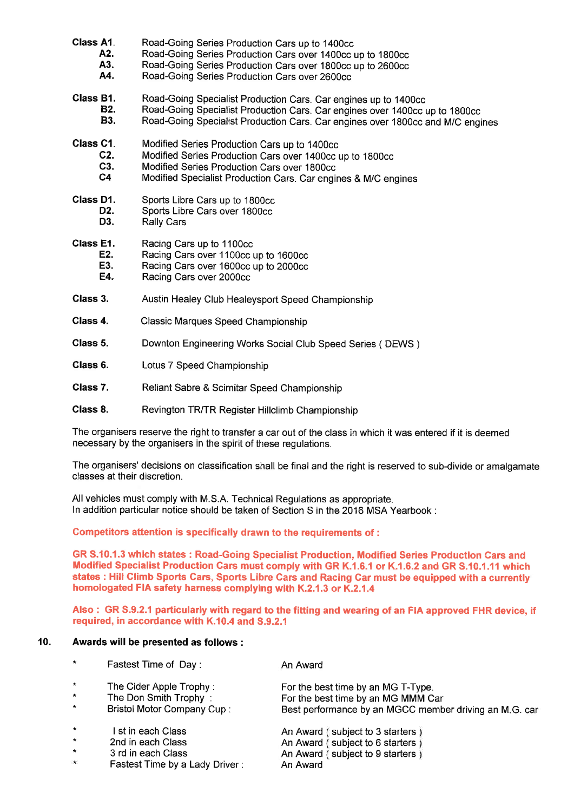| Class A1.        | Road-Going Series Production Cars up to 1400cc                                 |
|------------------|--------------------------------------------------------------------------------|
| A2.              | Road-Going Series Production Cars over 1400cc up to 1800cc                     |
| A3.              | Road-Going Series Production Cars over 1800cc up to 2600cc                     |
| A4.              | Road-Going Series Production Cars over 2600cc                                  |
| Class B1.        | Road-Going Specialist Production Cars. Car engines up to 1400cc                |
| <b>B2.</b>       | Road-Going Specialist Production Cars. Car engines over 1400cc up to 1800cc    |
| <b>B3.</b>       | Road-Going Specialist Production Cars. Car engines over 1800cc and M/C engines |
| Class C1.        | Modified Series Production Cars up to 1400cc                                   |
| C2.              | Modified Series Production Cars over 1400cc up to 1800cc                       |
| C <sub>3</sub> . | Modified Series Production Cars over 1800cc                                    |
| C <sub>4</sub>   | Modified Specialist Production Cars. Car engines & M/C engines                 |
| Class D1.        | Sports Libre Cars up to 1800cc                                                 |
| D2.              | Sports Libre Cars over 1800cc                                                  |
| D3.              | <b>Rally Cars</b>                                                              |
| Class E1.        | Racing Cars up to 1100cc                                                       |
| E2.              | Racing Cars over 1100cc up to 1600cc                                           |
| E3.              | Racing Cars over 1600cc up to 2000cc                                           |
| E4.              | Racing Cars over 2000cc                                                        |
| Class 3.         | Austin Healey Club Healeysport Speed Championship                              |
| Class 4.         | Classic Marques Speed Championship                                             |
| Class 5.         | Downton Engineering Works Social Club Speed Series (DEWS)                      |
| Class 6.         | Lotus 7 Speed Championship                                                     |
| Class 7.         | Reliant Sabre & Scimitar Speed Championship                                    |
| Class 8.         | Revington TR/TR Register Hillclimb Championship                                |

The organisers reserve the right to transfer a car out of the class in which it was entered if it is deemed necessary by the organisers in the spirit of these regulations.

The organisers' decisions on classification shall be final and the right is reserved to sub-divide or amalgamate classes at their discretion.

All vehicles must comply with M.S.A. Technical Regulations as appropriate. In addition particular notice should be taken of Section S in the 2016 MSA Yearbook :

Competitors attention is specifically drawn to the requirements of :

GR S.10.1.3 which states : Road-Going Specialist Production, Modified Series Production Cars and Modified Specialist Production Cars must comply with GR K.1.6.1 or K.1.6.2 and GR S.10.1.11 which states : Hill Climb Sports Cars, Sports Libre Cars and Racing Car must be equipped with a currently homologated FIA safety harness complying with K.2.1.3 or K.2.1.4

Also : GR 5.9.2.1 particularly with regard to the fitting and wearing of an FIA approved FHR device, if required, in accordance with K.10.4 and 5.9.2.1

## 10. Awards will be presented as follows :

| $\star$     | Fastest Time of Day:              | An Award                                               |
|-------------|-----------------------------------|--------------------------------------------------------|
| $\pmb{\pi}$ | The Cider Apple Trophy:           | For the best time by an MG T-Type.                     |
| $\star$     | The Don Smith Trophy:             | For the best time by an MG MMM Car                     |
| $\star$     | <b>Bristol Motor Company Cup:</b> | Best performance by an MGCC member driving an M.G. car |
| $\star$     | I st in each Class                | An Award (subject to 3 starters)                       |
| $\star$     | 2nd in each Class                 | An Award (subject to 6 starters)                       |
| $\star$     | 3 rd in each Class                | An Award (subject to 9 starters)                       |
| $\star$     | Fastest Time by a Lady Driver:    | An Award                                               |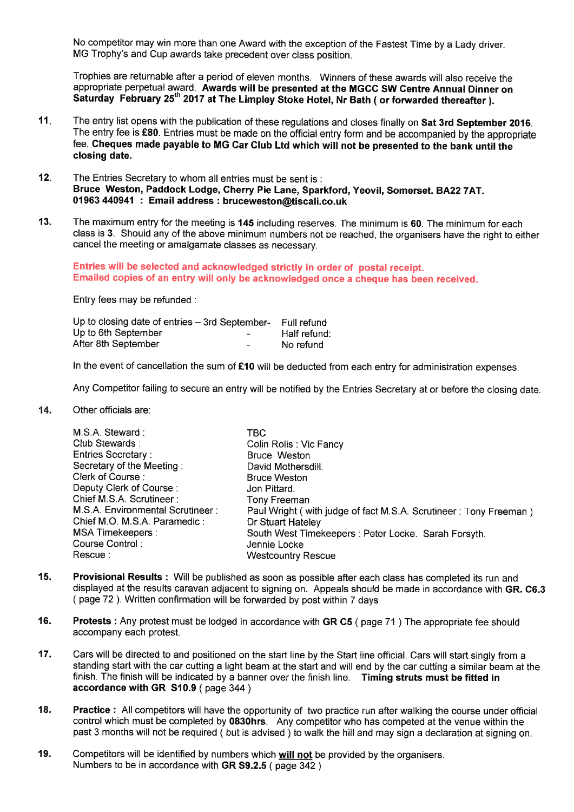No competitor may win more than one Award with the exception of the Fastest Time by a Lady driver. MG Trophy's and Cup awards take precedent over class position.

Trophies are returnable after a period of eleven months. Winners of these awards will also receive the appropriate perpetual award. Awards will be presented at the MGCC SW Centre Annual Dinner on Saturday February 25<sup>th</sup> 2017 at The Limpley Stoke Hotel, Nr Bath ( or forwarded thereafter ).

- 11 The entry list opens with the publication of these regulations and closes finally on Sat 3rd September 2016. The entry fee is £80. Entries must be made on the official entry form and be accompanied by the appropriate fee. Cheques made payable to MG Car Club Ltd which will not be presented to the bank until the closing date.
- The Entries Secretary to whom all entries must be sent is : Bruce Weston, Paddock Lodge, Gherry Pie Lane, Sparkford, Yeovil, Somerset. BA227AT. 01963 440941: Email address : bruceweston@tiscali.co.uk 12
- The maximum entry for the meeting is 145 including reserves. The minimum is 60. The minimum for each class is 3. Should any of the above minimum numbers not be reached, the organisers have the right to either cancel the meeting or amalgamate classes as necessary. 13.

Entries will be selected and acknowledged strictly in order of postal receipt. Emailed copies of an entry will only be acknowledged once a cheque has been received.

Entry fees may be refunded :

| Up to closing date of entries - 3rd September- |                          | Full refund  |
|------------------------------------------------|--------------------------|--------------|
| Up to 6th September                            | $\overline{\phantom{0}}$ | Half refund: |
| After 8th September                            | $\overline{\phantom{0}}$ | No refund    |

In the event of cancellation the sum of £10 will be deducted from each entry for administration expenses.

Any Competitor failing to secure an entry will be notified by the Entries Secretary at or before the closing date.

 $14.$ Other officials are:

| M.S.A. Steward:                  | TBC                                                              |
|----------------------------------|------------------------------------------------------------------|
| Club Stewards:                   | Colin Rolls: Vic Fancy                                           |
| <b>Entries Secretary:</b>        | Bruce Weston                                                     |
| Secretary of the Meeting:        | David Mothersdill.                                               |
| Clerk of Course:                 | <b>Bruce Weston</b>                                              |
| Deputy Clerk of Course:          | Jon Pittard.                                                     |
| Chief M.S.A. Scrutineer:         | Tony Freeman                                                     |
| M.S.A. Environmental Scrutineer: | Paul Wright (with judge of fact M.S.A. Scrutineer: Tony Freeman) |
| Chief M.O. M.S.A. Paramedic:     | Dr Stuart Hateley                                                |
| <b>MSA Timekeepers:</b>          | South West Timekeepers: Peter Locke. Sarah Forsyth.              |
| Course Control:                  | Jennie Locke                                                     |
| Rescue :                         | <b>Westcountry Rescue</b>                                        |

- 15. Provisional Results : Will be published as soon as possible after each class has completed its run and displayed at the results caravan adjacent to signing on. Appeals should be made in accordance with GR. C6.3 ( page 72 ). Written confirmation will be fonruarded by post within 7 days
- 16. Protests : Any protest must be lodged in accordance with GR G5 ( page 71 ) The appropriate fee should accompany each protest.
- 17. Cars will be directed to and positioned on the start line by the Start line official. Cars will start singly from a standing start with the car cutting a light beam at the start and will end by the car cutting a similar beam at the finish. The finish will be indicated by a banner over the finish line. Timing struts must be fitted in accordance with GR 510.9 ( page 344 )
- 18. Practice : All competitors will have the opportunity of two practice run after walking the course under official control which must be completed by 0830hrs. Any competitor who has competed at the venue within the past 3 months will not be required ( but is advised ) to walk the hill and may sign a declaration at signing on.
- Competitors will be identified by numbers which will not be provided by the organisers. Numbers to be in accordance with GR S9.2.5 ( page 342 ) 19.